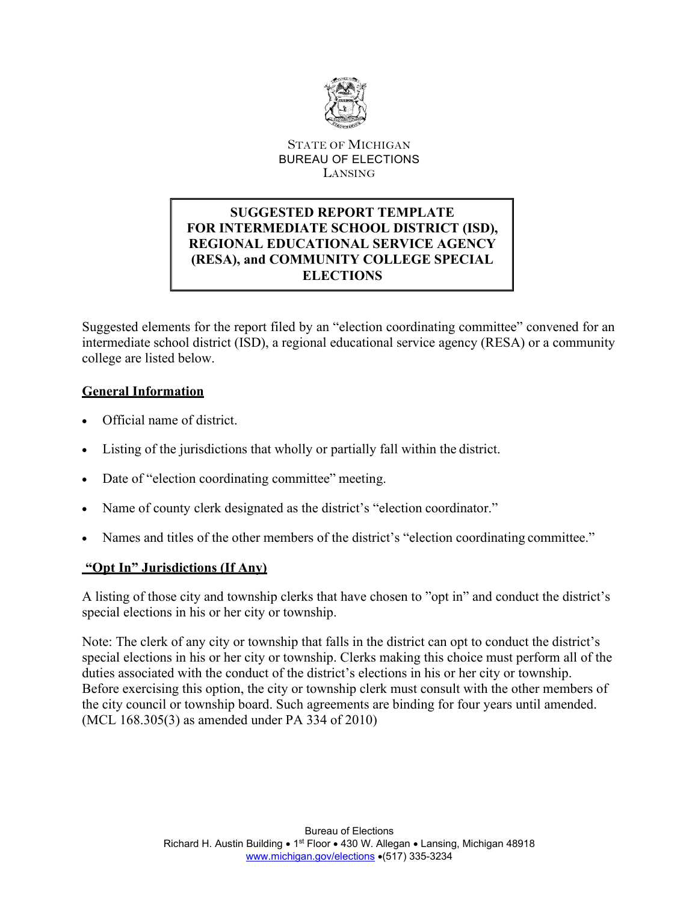

### STATE OF MICHIGAN BUREAU OF ELECTIONS LANSING

# **SUGGESTED REPORT TEMPLATE FOR INTERMEDIATE SCHOOL DISTRICT (ISD), REGIONAL EDUCATIONAL SERVICE AGENCY (RESA), and COMMUNITY COLLEGE SPECIAL ELECTIONS**

Suggested elements for the report filed by an "election coordinating committee" convened for an intermediate school district (ISD), a regional educational service agency (RESA) or a community college are listed below.

# **General Information**

- Official name of district.
- Listing of the jurisdictions that wholly or partially fall within the district.
- Date of "election coordinating committee" meeting.
- Name of county clerk designated as the district's "election coordinator."
- Names and titles of the other members of the district's "election coordinating committee."

#### **"Opt In" Jurisdictions (If Any)**

A listing of those city and township clerks that have chosen to "opt in" and conduct the district's special elections in his or her city or township.

Note: The clerk of any city or township that falls in the district can opt to conduct the district's special elections in his or her city or township. Clerks making this choice must perform all of the duties associated with the conduct of the district's elections in his or her city or township. Before exercising this option, the city or township clerk must consult with the other members of the city council or township board. Such agreements are binding for four years until amended. (MCL 168.305(3) as amended under PA 334 of 2010)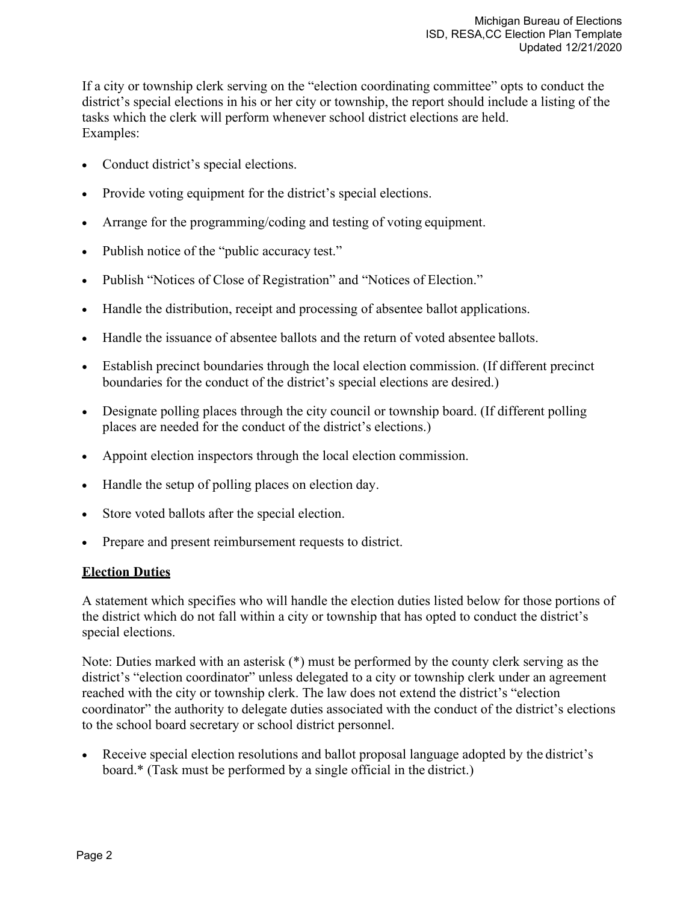If a city or township clerk serving on the "election coordinating committee" opts to conduct the district's special elections in his or her city or township, the report should include a listing of the tasks which the clerk will perform whenever school district elections are held. Examples:

- Conduct district's special elections.
- Provide voting equipment for the district's special elections.
- Arrange for the programming/coding and testing of voting equipment.
- Publish notice of the "public accuracy test."
- Publish "Notices of Close of Registration" and "Notices of Election."
- Handle the distribution, receipt and processing of absentee ballot applications.
- Handle the issuance of absentee ballots and the return of voted absentee ballots.
- Establish precinct boundaries through the local election commission. (If different precinct boundaries for the conduct of the district's special elections are desired.)
- Designate polling places through the city council or township board. (If different polling places are needed for the conduct of the district's elections.)
- Appoint election inspectors through the local election commission.
- Handle the setup of polling places on election day.
- Store voted ballots after the special election.
- Prepare and present reimbursement requests to district.

#### **Election Duties**

A statement which specifies who will handle the election duties listed below for those portions of the district which do not fall within a city or township that has opted to conduct the district's special elections.

Note: Duties marked with an asterisk (\*) must be performed by the county clerk serving as the district's "election coordinator" unless delegated to a city or township clerk under an agreement reached with the city or township clerk. The law does not extend the district's "election coordinator" the authority to delegate duties associated with the conduct of the district's elections to the school board secretary or school district personnel.

Receive special election resolutions and ballot proposal language adopted by the district's board.\* (Task must be performed by a single official in the district.)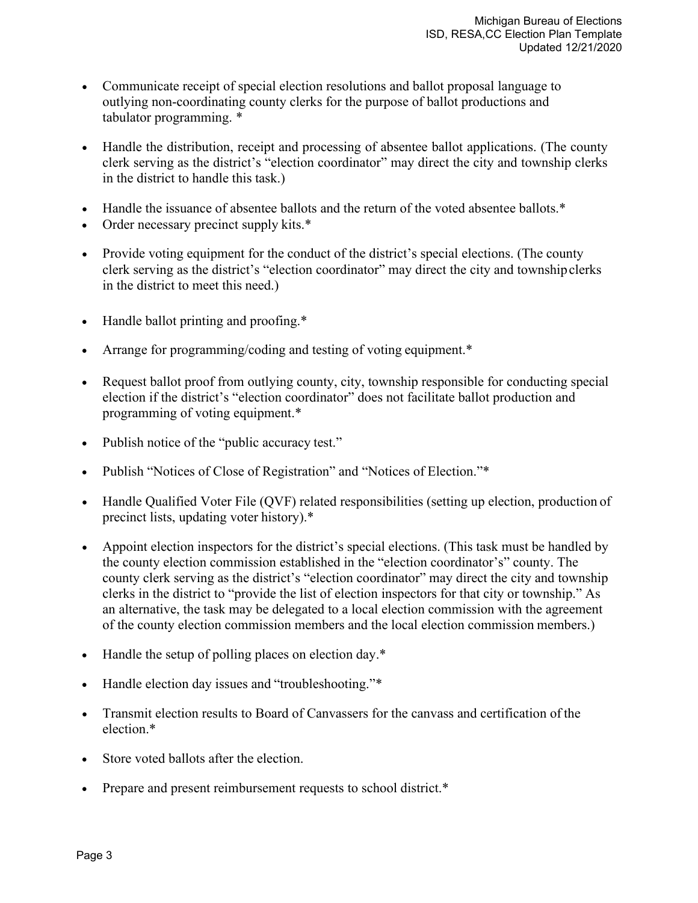- Communicate receipt of special election resolutions and ballot proposal language to outlying non-coordinating county clerks for the purpose of ballot productions and tabulator programming. \*
- Handle the distribution, receipt and processing of absentee ballot applications. (The county clerk serving as the district's "election coordinator" may direct the city and township clerks in the district to handle this task.)
- Handle the issuance of absentee ballots and the return of the voted absentee ballots.\*
- Order necessary precinct supply kits.\*
- Provide voting equipment for the conduct of the district's special elections. (The county clerk serving as the district's "election coordinator" may direct the city and townshipclerks in the district to meet this need.)
- Handle ballot printing and proofing.\*
- Arrange for programming/coding and testing of voting equipment.\*
- Request ballot proof from outlying county, city, township responsible for conducting special election if the district's "election coordinator" does not facilitate ballot production and programming of voting equipment.\*
- Publish notice of the "public accuracy test."
- Publish "Notices of Close of Registration" and "Notices of Election."\*
- Handle Qualified Voter File (QVF) related responsibilities (setting up election, production of precinct lists, updating voter history).\*
- Appoint election inspectors for the district's special elections. (This task must be handled by the county election commission established in the "election coordinator's" county. The county clerk serving as the district's "election coordinator" may direct the city and township clerks in the district to "provide the list of election inspectors for that city or township." As an alternative, the task may be delegated to a local election commission with the agreement of the county election commission members and the local election commission members.)
- Handle the setup of polling places on election day.\*
- Handle election day issues and "troubleshooting."\*
- Transmit election results to Board of Canvassers for the canvass and certification of the election.\*
- Store voted ballots after the election.
- Prepare and present reimbursement requests to school district.\*